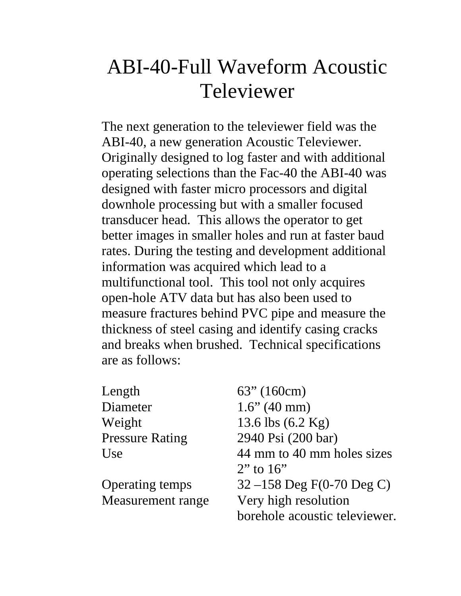## ABI-40-Full Waveform Acoustic Televiewer

The next generation to the televiewer field was the ABI-40, a new generation Acoustic Televiewer. Originally designed to log faster and with additional operating selections than the Fac-40 the ABI-40 was designed with faster micro processors and digital downhole processing but with a smaller focused transducer head. This allows the operator to get better images in smaller holes and run at faster baud rates. During the testing and development additional information was acquired which lead to a multifunctional tool. This tool not only acquires open-hole ATV data but has also been used to measure fractures behind PVC pipe and measure the thickness of steel casing and identify casing cracks and breaks when brushed. Technical specifications are as follows:

| Length                 | $63''$ (160cm)                |
|------------------------|-------------------------------|
| Diameter               | $1.6$ " (40 mm)               |
| Weight                 | 13.6 lbs $(6.2 \text{ Kg})$   |
| <b>Pressure Rating</b> | 2940 Psi (200 bar)            |
| Use                    | 44 mm to 40 mm holes sizes    |
|                        | $2$ " to 16"                  |
| <b>Operating temps</b> | 32 –158 Deg $F(0-70$ Deg C)   |
| Measurement range      | Very high resolution          |
|                        | borehole acoustic televiewer. |